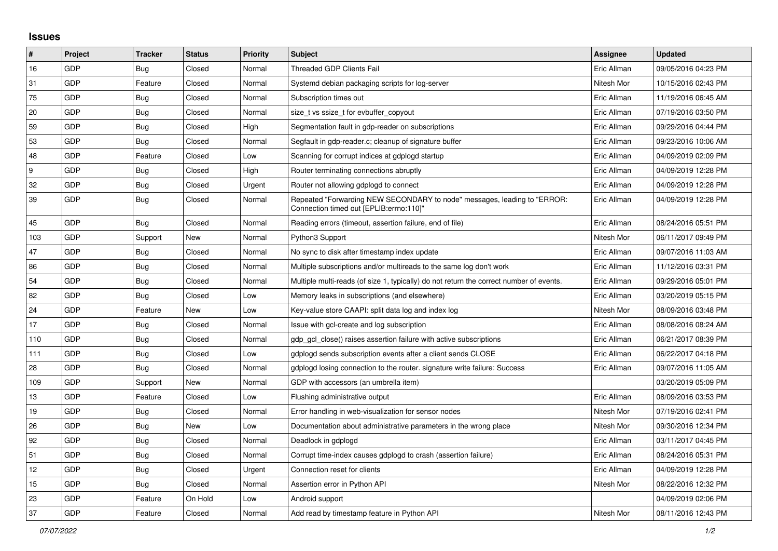## **Issues**

| $\vert$ # | Project    | <b>Tracker</b> | <b>Status</b> | <b>Priority</b> | <b>Subject</b>                                                                                                      | Assignee    | <b>Updated</b>      |
|-----------|------------|----------------|---------------|-----------------|---------------------------------------------------------------------------------------------------------------------|-------------|---------------------|
| 16        | GDP        | Bug            | Closed        | Normal          | <b>Threaded GDP Clients Fail</b>                                                                                    | Eric Allman | 09/05/2016 04:23 PM |
| 31        | GDP        | Feature        | Closed        | Normal          | Systemd debian packaging scripts for log-server                                                                     | Nitesh Mor  | 10/15/2016 02:43 PM |
| 75        | <b>GDP</b> | <b>Bug</b>     | Closed        | Normal          | Subscription times out                                                                                              | Eric Allman | 11/19/2016 06:45 AM |
| 20        | GDP        | Bug            | Closed        | Normal          | size t vs ssize t for evbuffer copyout                                                                              | Eric Allman | 07/19/2016 03:50 PM |
| 59        | GDP        | Bug            | Closed        | High            | Segmentation fault in gdp-reader on subscriptions                                                                   | Eric Allman | 09/29/2016 04:44 PM |
| 53        | GDP        | Bug            | Closed        | Normal          | Segfault in gdp-reader.c; cleanup of signature buffer                                                               | Eric Allman | 09/23/2016 10:06 AM |
| 48        | GDP        | Feature        | Closed        | Low             | Scanning for corrupt indices at gdplogd startup                                                                     | Eric Allman | 04/09/2019 02:09 PM |
| 9         | GDP        | Bug            | Closed        | High            | Router terminating connections abruptly                                                                             | Eric Allman | 04/09/2019 12:28 PM |
| 32        | GDP        | Bug            | Closed        | Urgent          | Router not allowing gdplogd to connect                                                                              | Eric Allman | 04/09/2019 12:28 PM |
| 39        | GDP        | Bug            | Closed        | Normal          | Repeated "Forwarding NEW SECONDARY to node" messages, leading to "ERROR:<br>Connection timed out [EPLIB:errno:110]" | Eric Allman | 04/09/2019 12:28 PM |
| 45        | GDP        | Bug            | Closed        | Normal          | Reading errors (timeout, assertion failure, end of file)                                                            | Eric Allman | 08/24/2016 05:51 PM |
| 103       | GDP        | Support        | <b>New</b>    | Normal          | Python3 Support                                                                                                     | Nitesh Mor  | 06/11/2017 09:49 PM |
| 47        | GDP        | <b>Bug</b>     | Closed        | Normal          | No sync to disk after timestamp index update                                                                        | Eric Allman | 09/07/2016 11:03 AM |
| 86        | GDP        | <b>Bug</b>     | Closed        | Normal          | Multiple subscriptions and/or multireads to the same log don't work                                                 | Eric Allman | 11/12/2016 03:31 PM |
| 54        | GDP        | <b>Bug</b>     | Closed        | Normal          | Multiple multi-reads (of size 1, typically) do not return the correct number of events.                             | Eric Allman | 09/29/2016 05:01 PM |
| 82        | GDP        | Bug            | Closed        | Low             | Memory leaks in subscriptions (and elsewhere)                                                                       | Eric Allman | 03/20/2019 05:15 PM |
| 24        | GDP        | Feature        | New           | Low             | Key-value store CAAPI: split data log and index log                                                                 | Nitesh Mor  | 08/09/2016 03:48 PM |
| 17        | GDP        | <b>Bug</b>     | Closed        | Normal          | Issue with gcl-create and log subscription                                                                          | Eric Allman | 08/08/2016 08:24 AM |
| 110       | GDP        | <b>Bug</b>     | Closed        | Normal          | gdp gcl close() raises assertion failure with active subscriptions                                                  | Eric Allman | 06/21/2017 08:39 PM |
| 111       | GDP        | <b>Bug</b>     | Closed        | Low             | gdplogd sends subscription events after a client sends CLOSE                                                        | Eric Allman | 06/22/2017 04:18 PM |
| 28        | GDP        | Bug            | Closed        | Normal          | gdplogd losing connection to the router, signature write failure: Success                                           | Eric Allman | 09/07/2016 11:05 AM |
| 109       | GDP        | Support        | New           | Normal          | GDP with accessors (an umbrella item)                                                                               |             | 03/20/2019 05:09 PM |
| 13        | GDP        | Feature        | Closed        | Low             | Flushing administrative output                                                                                      | Eric Allman | 08/09/2016 03:53 PM |
| 19        | GDP        | <b>Bug</b>     | Closed        | Normal          | Error handling in web-visualization for sensor nodes                                                                | Nitesh Mor  | 07/19/2016 02:41 PM |
| 26        | GDP        | Bug            | New           | Low             | Documentation about administrative parameters in the wrong place                                                    | Nitesh Mor  | 09/30/2016 12:34 PM |
| 92        | GDP        | Bug            | Closed        | Normal          | Deadlock in gdplogd                                                                                                 | Eric Allman | 03/11/2017 04:45 PM |
| 51        | GDP        | Bug            | Closed        | Normal          | Corrupt time-index causes gdplogd to crash (assertion failure)                                                      | Eric Allman | 08/24/2016 05:31 PM |
| 12        | GDP        | Bug            | Closed        | Urgent          | Connection reset for clients                                                                                        | Eric Allman | 04/09/2019 12:28 PM |
| 15        | GDP        | <b>Bug</b>     | Closed        | Normal          | Assertion error in Python API                                                                                       | Nitesh Mor  | 08/22/2016 12:32 PM |
| 23        | GDP        | Feature        | On Hold       | Low             | Android support                                                                                                     |             | 04/09/2019 02:06 PM |
| 37        | GDP        | Feature        | Closed        | Normal          | Add read by timestamp feature in Python API                                                                         | Nitesh Mor  | 08/11/2016 12:43 PM |